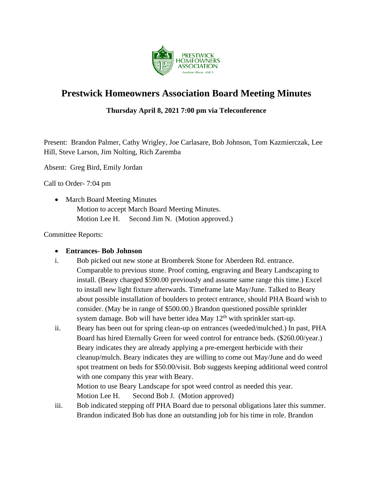

# **Prestwick Homeowners Association Board Meeting Minutes**

## **Thursday April 8, 2021 7:00 pm via Teleconference**

Present: Brandon Palmer, Cathy Wrigley, Joe Carlasare, Bob Johnson, Tom Kazmierczak, Lee Hill, Steve Larson, Jim Nolting, Rich Zaremba

Absent: Greg Bird, Emily Jordan

Call to Order- 7:04 pm

• March Board Meeting Minutes Motion to accept March Board Meeting Minutes. Motion Lee H. Second Jim N. (Motion approved.)

Committee Reports:

#### • **Entrances- Bob Johnson**

- i. Bob picked out new stone at Bromberek Stone for Aberdeen Rd. entrance. Comparable to previous stone. Proof coming, engraving and Beary Landscaping to install. (Beary charged \$590.00 previously and assume same range this time.) Excel to install new light fixture afterwards. Timeframe late May/June. Talked to Beary about possible installation of boulders to protect entrance, should PHA Board wish to consider. (May be in range of \$500.00.) Brandon questioned possible sprinkler system damage. Bob will have better idea May  $12<sup>th</sup>$  with sprinkler start-up.
- ii. Beary has been out for spring clean-up on entrances (weeded/mulched.) In past, PHA Board has hired Eternally Green for weed control for entrance beds. (\$260.00/year.) Beary indicates they are already applying a pre-emergent herbicide with their cleanup/mulch. Beary indicates they are willing to come out May/June and do weed spot treatment on beds for \$50.00/visit. Bob suggests keeping additional weed control with one company this year with Beary.

Motion to use Beary Landscape for spot weed control as needed this year. Motion Lee H. Second Bob J. (Motion approved)

iii. Bob indicated stepping off PHA Board due to personal obligations later this summer. Brandon indicated Bob has done an outstanding job for his time in role. Brandon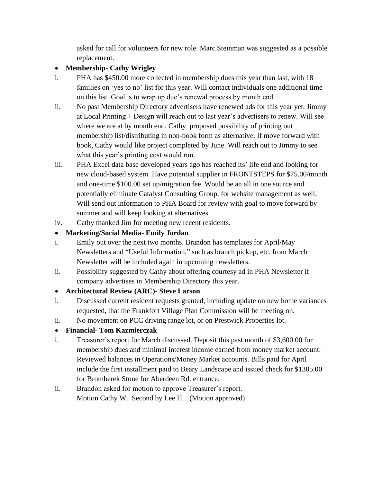asked for call for volunteers for new role. Marc Steinman was suggested as a possible replacement.

## • **Membership- Cathy Wrigley**

- i. PHA has \$450.00 more collected in membership dues this year than last, with 18 families on 'yes to no' list for this year. Will contact individuals one additional time on this list. Goal is to wrap up due's renewal process by month end.
- ii. No past Membership Directory advertisers have renewed ads for this year yet. Jimmy at Local Printing + Design will reach out to last year's advertisers to renew. Will see where we are at by month end. Cathy proposed possibility of printing out membership list/distributing in non-book form as alternative. If move forward with book, Cathy would like project completed by June. Will reach out to Jimmy to see what this year's printing cost would run.
- iii. PHA Excel data base developed years ago has reached its' life end and looking for new cloud-based system. Have potential supplier in FRONTSTEPS for \$75.00/month and one-time \$100.00 set up/migration fee. Would be an all in one source and potentially eliminate Catalyst Consulting Group, for website management as well. Will send out information to PHA Board for review with goal to move forward by summer and will keep looking at alternatives.
- iv. Cathy thanked Jim for meeting new recent residents.

# • **Marketing/Social Media- Emily Jordan**

- i. Emily out over the next two months. Brandon has templates for April/May Newsletters and "Useful Information," such as branch pickup, etc. from March Newsletter will be included again in upcoming newsletters.
- ii. Possibility suggested by Cathy about offering courtesy ad in PHA Newsletter if company advertises in Membership Directory this year.

# • **Architectural Review (ARC)- Steve Larson**

- i. Discussed current resident requests granted, including update on new home variances requested, that the Frankfort Village Plan Commission will be meeting on.
- ii. No movement on PCC driving range lot, or on Prestwick Properties lot.

# • **Financial- Tom Kazmierczak**

- i. Treasurer's report for March discussed. Deposit this past month of \$3,600.00 for membership dues and minimal interest income earned from money market account. Reviewed balances in Operations/Money Market accounts. Bills paid for April include the first installment paid to Beary Landscape and issued check for \$1305.00 for Bromberek Stone for Aberdeen Rd. entrance.
- ii. Brandon asked for motion to approve Treasurer's report. Motion Cathy W. Second by Lee H. (Motion approved)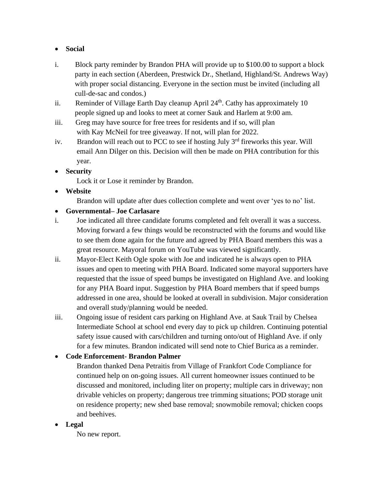#### • **Social**

- i.Block party reminder by Brandon PHA will provide up to \$100.00 to support a block party in each section (Aberdeen, Prestwick Dr., Shetland, Highland/St. Andrews Way) with proper social distancing. Everyone in the section must be invited (including all cull-de-sac and condos.)
- ii. Reminder of Village Earth Day cleanup April  $24<sup>th</sup>$ . Cathy has approximately 10 people signed up and looks to meet at corner Sauk and Harlem at 9:00 am.
- iii. Greg may have source for free trees for residents and if so, will plan with Kay McNeil for tree giveaway. If not, will plan for 2022.
- iv. Brandon will reach out to PCC to see if hosting July  $3<sup>rd</sup>$  fireworks this year. Will email Ann Dilger on this. Decision will then be made on PHA contribution for this year.

#### • **Security**

Lock it or Lose it reminder by Brandon.

## • **Website**

Brandon will update after dues collection complete and went over 'yes to no' list.

## • **Governmental– Joe Carlasare**

- i. Joe indicated all three candidate forums completed and felt overall it was a success. Moving forward a few things would be reconstructed with the forums and would like to see them done again for the future and agreed by PHA Board members this was a great resource. Mayoral forum on YouTube was viewed significantly.
- ii. Mayor-Elect Keith Ogle spoke with Joe and indicated he is always open to PHA issues and open to meeting with PHA Board. Indicated some mayoral supporters have requested that the issue of speed bumps be investigated on Highland Ave. and looking for any PHA Board input. Suggestion by PHA Board members that if speed bumps addressed in one area, should be looked at overall in subdivision. Major consideration and overall study/planning would be needed.
- iii. Ongoing issue of resident cars parking on Highland Ave. at Sauk Trail by Chelsea Intermediate School at school end every day to pick up children. Continuing potential safety issue caused with cars/children and turning onto/out of Highland Ave. if only for a few minutes. Brandon indicated will send note to Chief Burica as a reminder.

## • **Code Enforcement- Brandon Palmer**

Brandon thanked Dena Petraitis from Village of Frankfort Code Compliance for continued help on on-going issues. All current homeowner issues continued to be discussed and monitored, including liter on property; multiple cars in driveway; non drivable vehicles on property; dangerous tree trimming situations; POD storage unit on residence property; new shed base removal; snowmobile removal; chicken coops and beehives.

#### • **Legal**

No new report.